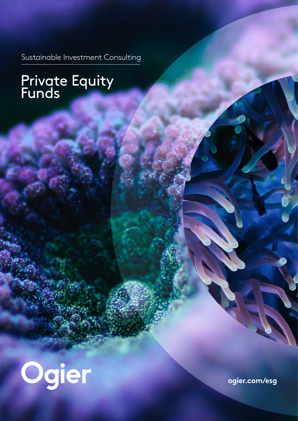Sustainable Investment Consulting

# Private Equity Funds



**ogier.com/esg**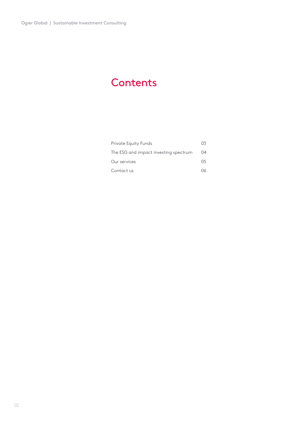## **Contents**

| Private Equity Funds                  |    |  |  |  |
|---------------------------------------|----|--|--|--|
| The ESG and impact investing spectrum | 04 |  |  |  |
| Our services                          | 05 |  |  |  |
| Contact us                            | ገሪ |  |  |  |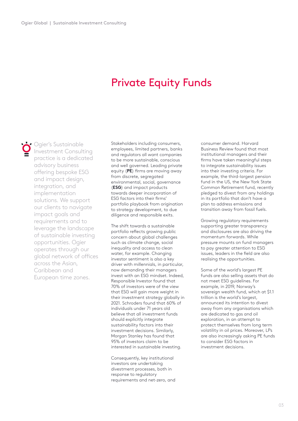## Private Equity Funds

Ogier's Sustainable Investment Consulting practice is a dedicated advisory business offering bespoke ESG and impact design, integration, and implementation solutions. We support our clients to navigate impact goals and requirements and to leverage the landscape of sustainable investing opportunities. Ogier operates through our global network of offices across the Asian, Caribbean and European time zones.

Stakeholders including consumers, employees, limited partners, banks and regulators all want companies to be more sustainable, conscious and well governed. Leading private equity (**PE**) firms are moving away from discrete, segregated environmental, social, governance (**ESG**) and impact products towards deeper incorporation of ESG factors into their firms' portfolio playbook from origination to strategy development, to due diligence and responsible exits.

The shift towards a sustainable portfolio reflects growing public concern about global challenges such as climate change, social inequality and access to clean water, for example. Changing investor sentiment is also a key driver with millennials, in particular, now demanding their managers invest with an ESG mindset. Indeed, Responsible Investor found that 70% of investors were of the view that ESG will gain more weight in their investment strategy globally in 2021. Schroders found that 60% of individuals under 71 years old believe that all investment funds should explicitly integrate sustainability factors into their investment decisions. Similarly, Morgan Stanley has found that 95% of investors claim to be interested in sustainable investing.

Consequently, key institutional investors are undertaking divestment processes, both in response to regulatory requirements and net-zero, and consumer demand. Harvard Business Review found that most institutional managers and their firms have taken meaningful steps to integrate sustainability issues into their investing criteria. For example, the third-largest pension fund in the US, the New York State Common Retirement fund, recently pledged to divest from any holdings in its portfolio that don't have a plan to address emissions and transition away from fossil fuels.

Growing regulatory requirements supporting greater transparency and disclosures are also driving the momentum forwards. While pressure mounts on fund managers to pay greater attention to ESG issues, leaders in the field are also realising the opportunities.

Some of the world's largest PE funds are also selling assets that do not meet ESG guidelines. For example, in 2019, Norway's sovereign wealth fund, which at \$1.1 trillion is the world's largest, announced its intention to divest away from any organisations which are dedicated to gas and oil exploration, in an attempt to protect themselves from long term volatility in oil prices. Moreover, LPs are also increasingly asking PE funds to consider ESG factors in investment decisions.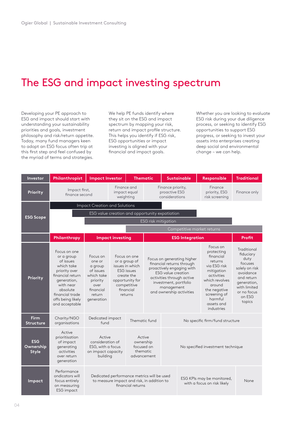## The ESG and impact investing spectrum

Developing your PE approach to ESG and impact should start with understanding your sustainability priorities and goals, investment philosophy and risk/return appetite. Today, many fund managers keen to adopt an ESG focus often trip at this first step and feel confused by the myriad of terms and strategies.

We help PE funds identify where they sit on the ESG and impact spectrum by mapping your risk, return and impact profile structure. This helps you identify if ESG risk, ESG opportunities or impact investing is aligned with your financial and impact goals.

Whether you are looking to evaluate ESG risk during your due diligence process, or seeking to identify ESG opportunities to support ESG progress, or seeking to invest your assets into enterprises creating deep social and environmental change – we can help.

| Investor                                | Philanthropist                                                                                                                                                                               | <b>Impact Investor</b>                                                                                            |  | <b>Thematic</b>                                                                                                                               |                                                                                                                                                                                                            |                                   | <b>Sustainable</b>                                        | Responsible                                                                                                                                                                                   | <b>Traditional</b>                                                                                                                                         |  |
|-----------------------------------------|----------------------------------------------------------------------------------------------------------------------------------------------------------------------------------------------|-------------------------------------------------------------------------------------------------------------------|--|-----------------------------------------------------------------------------------------------------------------------------------------------|------------------------------------------------------------------------------------------------------------------------------------------------------------------------------------------------------------|-----------------------------------|-----------------------------------------------------------|-----------------------------------------------------------------------------------------------------------------------------------------------------------------------------------------------|------------------------------------------------------------------------------------------------------------------------------------------------------------|--|
| Priority                                | Impact first,<br>finance second                                                                                                                                                              |                                                                                                                   |  | Finance and<br>impact equal<br>weighting                                                                                                      | Finance priority,<br>proactive ESG<br>considerations                                                                                                                                                       |                                   |                                                           | Finance<br>priority, ESG<br>risk screening                                                                                                                                                    | Finance only                                                                                                                                               |  |
|                                         |                                                                                                                                                                                              | Impact Creation and Solutions                                                                                     |  |                                                                                                                                               |                                                                                                                                                                                                            |                                   |                                                           |                                                                                                                                                                                               |                                                                                                                                                            |  |
| <b>ESG Scope</b>                        | ESG value creation and opportunity expatiation                                                                                                                                               |                                                                                                                   |  |                                                                                                                                               |                                                                                                                                                                                                            |                                   |                                                           |                                                                                                                                                                                               |                                                                                                                                                            |  |
|                                         | ESG risk mitigation<br>Competitive market returns                                                                                                                                            |                                                                                                                   |  |                                                                                                                                               |                                                                                                                                                                                                            |                                   |                                                           |                                                                                                                                                                                               |                                                                                                                                                            |  |
|                                         | Philanthropy                                                                                                                                                                                 | <b>Impact investing</b>                                                                                           |  |                                                                                                                                               | <b>ESG Integration</b>                                                                                                                                                                                     |                                   |                                                           |                                                                                                                                                                                               | Profit                                                                                                                                                     |  |
| Priority                                | Focus on one<br>or a group<br>of issues<br>which take<br>priority over<br>financial return<br>generation,<br>with near<br>absolute<br>financial trade<br>offs being likely<br>and acceptable | Focus on<br>one or<br>a group<br>of issues<br>which take<br>priority<br>over<br>financial<br>return<br>generation |  | Focus on one<br>or a group of<br>issues in which<br><b>ESG</b> issues<br>create the<br>opportunity for<br>competitive<br>financial<br>returns | Focus on generating higher<br>financial returns through<br>proactively engaging with<br>ESG value creation<br>activities through active<br>investment, portfolio<br>management<br>and ownership activities |                                   |                                                           | Focus on<br>protecting<br>financial<br>returns<br>via ESG risk<br>mitigation<br>activities<br>which revolves<br>around<br>the negative<br>screening of<br>harmful<br>assets and<br>industries | Traditional<br>fiduciary<br>duty<br>focuses<br>solely on risk<br>avoidance<br>and return<br>generation,<br>with limited<br>or no focus<br>on ESG<br>topics |  |
| <b>Firm</b><br><b>Structure</b>         | Charity/NGO<br>organisations                                                                                                                                                                 | Dedicated impact<br>fund                                                                                          |  | Thematic fund                                                                                                                                 |                                                                                                                                                                                                            | No specific firm/fund structure   |                                                           |                                                                                                                                                                                               |                                                                                                                                                            |  |
| <b>ESG</b><br>Ownership<br><b>Style</b> | Active<br>prioritisation<br>of impact<br>generating<br>activities<br>over return<br>generation                                                                                               | Active<br>consideration of<br>ESG, with a focus<br>on impact capacity<br>building                                 |  | Active<br>ownership<br>focused on<br>thematic<br>advancement                                                                                  |                                                                                                                                                                                                            | No specified investment technique |                                                           |                                                                                                                                                                                               |                                                                                                                                                            |  |
| Impact                                  | Performance<br>ondicators will<br>focus entirely<br>on measuring<br>ESG impact                                                                                                               | Dedicated performance metrics will be used<br>to measure impact and risk, in addition to<br>financial returns     |  |                                                                                                                                               |                                                                                                                                                                                                            |                                   | ESG KPIs may be monitored,<br>with a focus on risk likely | None                                                                                                                                                                                          |                                                                                                                                                            |  |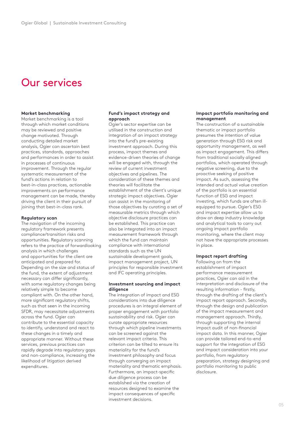### Our services

#### **Market benchmarking**

Market benchmarking is a tool through which market conditions may be reviewed and positive change motivated. Through conducting detailed market analysis, Ogier can ascertain best practices, standards, approaches and performances in order to assist in processes of continuous improvement. Through the regular systematic measurement of the fund's actions in relation to best-in-class practices, actionable improvements on performance management can be made, thereby driving the client in their pursuit of joining that best-in-class rank.

#### **Regulatory scan**

The navigation of the incoming regulatory framework presents compliance/transition risks and opportunities. Regulatory scanning refers to the practice of forwardlooking analysis in which challenges and opportunities for the client are anticipated and prepared for. Depending on the size and status of the fund, the extent of adjustment necessary can differ significantly, with some regulatory changes being relatively simple to become compliant with. On the other hand, more significant regulatory shifts, such as that seen in the incoming SFDR, may necessitate adjustments across the fund. Ogier can contribute to the essential capacity to identify, understand and react to these changes in a timely and appropriate manner. Without these services, previous practices can rapidly degrade into regulatory gaps and non-compliance, increasing the likelihood of litigation derived expenditures.

#### **Fund's impact strategy and approach**

Ogier's sector expertise can be utilised in the construction and integration of an impact strategy into the fund's pre-existing investment approach. During this process, impact themes and evidence-driven theories of change will be engaged with, through the review of current investment objectives and pipelines. The consideration of these themes and theories will facilitate the establishment of the client's unique strategic impact objectives. Ogier can assist in the monitoring of those objectives by curating a set of measurable metrics through which objective disclosure practices can be established. This practice can also be integrated into an impact measurement framework through which the fund can maintain compliance with international standards such as the UN sustainable development goals, impact management project, UN principles for responsible investment and IFC operating principles.

#### **Investment sourcing and impact diligence**

The integration of impact and ESG considerations into due diligence procedures is an integral element of proper engagement with portfolio sustainability and risk. Ogier can curate appropriate resources through which pipeline investments can be screened against the relevant impact criteria. This criterion can be tilted to ensure its materiality for the fund's investment philosophy and focus through converging on impact materiality and thematic emphasis. Furthermore, an impact-specific due diligence process can be established via the creation of resources designed to examine the impact consequences of specific investment decisions.

#### **Impact portfolio monitoring and management**

The construction of a sustainable thematic or impact portfolio presumes the intention of value generation through ESG risk and opportunity management, as well as impact engagement. This differs from traditional socially aligned portfolios, which operated through negative screening, due to the proactive seeking of positive impact. As such, assessing the intended and actual value creation of the portfolio is an essential function of ESG and impact investing, which funds are often illequipped to pursue. Ogier's ESG and impact expertise allow us to draw on deep industry knowledge and analytical tools to carry out ongoing impact portfolio monitoring, where the client may not have the appropriate processes in place.

#### **Impact report drafting**

Following on from the establishment of impact performance measurement practices, Ogier can aid in the interpretation and disclosure of the resulting information - firstly, through the drafting of the client's impact report approach. Secondly, through the design and publication of the impact measurement and management approach. Thirdly, through supporting the internal impact audit of non-financial impact data. In this manner, Ogier can provide tailored end-to-end support for the integration of ESG and impact consideration into your portfolio, from regulatory preparation, strategy designing and portfolio monitoring to public disclosure.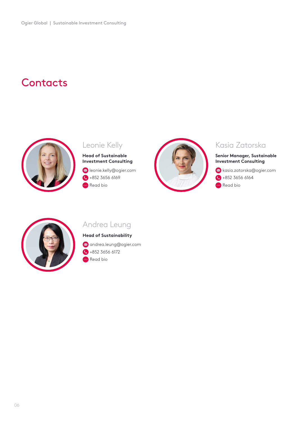## **Contacts**



# Leonie Kelly

**Head of Sustainable Investment Consulting**

 leonie.kelly@ogier.com  $+85236566169$ 

**CD** Read bio



### Kasia Zatorska

#### **Senior Manager, Sustainable Investment Consulting**

kasia.zatorska@ogier.com

+852 3656 6164

**Read bio** 



### Andrea Leung

**Head of Sustainability**

andrea.leung@ogier.com

+852 3656 6172

**CD** Read bio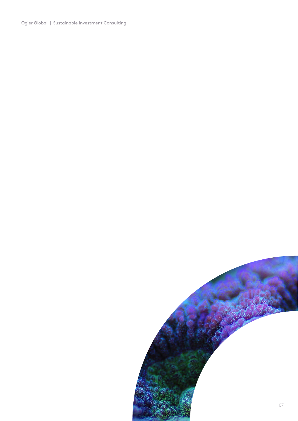Ogier Global | Sustainable Investment Consulting